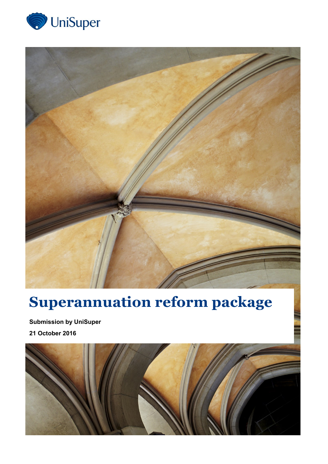



# **Superannuation reform package**

**Submission by UniSuper 21 October 2016**

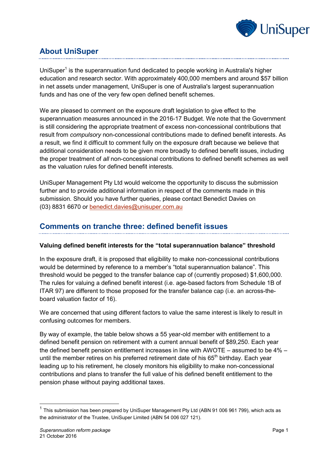

## **About UniSuper**

UniSuper<sup>1</sup> is the superannuation fund dedicated to people working in Australia's higher education and research sector. With approximately 400,000 members and around \$57 billion in net assets under management, UniSuper is one of Australia's largest superannuation funds and has one of the very few open defined benefit schemes.

We are pleased to comment on the exposure draft legislation to give effect to the superannuation measures announced in the 2016-17 Budget. We note that the Government is still considering the appropriate treatment of excess non-concessional contributions that result from *compulsory* non-concessional contributions made to defined benefit interests. As a result, we find it difficult to comment fully on the exposure draft because we believe that additional consideration needs to be given more broadly to defined benefit issues, including the proper treatment of *all* non-concessional contributions to defined benefit schemes as well as the valuation rules for defined benefit interests.

UniSuper Management Pty Ltd would welcome the opportunity to discuss the submission further and to provide additional information in respect of the comments made in this submission. Should you have further queries, please contact Benedict Davies on (03) 8831 6670 or [benedict.davies@unisuper.com.au](mailto:benedict.davies@unisuper.com.au)

## **Comments on tranche three: defined benefit issues**

### **Valuing defined benefit interests for the "total superannuation balance" threshold**

In the exposure draft, it is proposed that eligibility to make non-concessional contributions would be determined by reference to a member's "total superannuation balance". This threshold would be pegged to the transfer balance cap of (currently proposed) \$1,600,000. The rules for valuing a defined benefit interest (i.e. age-based factors from Schedule 1B of ITAR 97) are different to those proposed for the transfer balance cap (i.e. an across-theboard valuation factor of 16).

We are concerned that using different factors to value the same interest is likely to result in confusing outcomes for members.

By way of example, the table below shows a 55 year-old member with entitlement to a defined benefit pension on retirement with a current annual benefit of \$89,250. Each year the defined benefit pension entitlement increases in line with AWOTE – assumed to be 4% – until the member retires on his preferred retirement date of his 65<sup>th</sup> birthday. Each year leading up to his retirement, he closely monitors his eligibility to make non-concessional contributions and plans to transfer the full value of his defined benefit entitlement to the pension phase without paying additional taxes.

-

 $1$  This submission has been prepared by UniSuper Management Pty Ltd (ABN 91 006 961 799), which acts as the administrator of the Trustee, UniSuper Limited (ABN 54 006 027 121).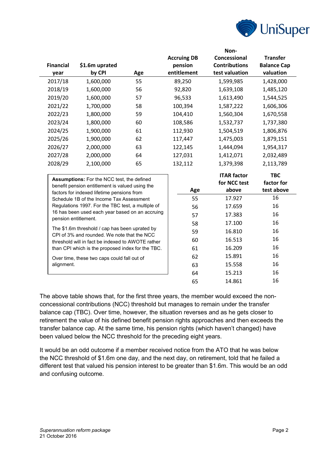

|                                                                                                                                                                                                |                |     | Non-               |                      |                    |
|------------------------------------------------------------------------------------------------------------------------------------------------------------------------------------------------|----------------|-----|--------------------|----------------------|--------------------|
|                                                                                                                                                                                                |                |     | <b>Accruing DB</b> | <b>Concessional</b>  | <b>Transfer</b>    |
| <b>Financial</b>                                                                                                                                                                               | \$1.6m uprated |     | pension            | <b>Contributions</b> | <b>Balance Cap</b> |
| year                                                                                                                                                                                           | by CPI         | Age | entitlement        | test valuation       | valuation          |
| 2017/18                                                                                                                                                                                        | 1,600,000      | 55  | 89,250             | 1,599,985            | 1,428,000          |
| 2018/19                                                                                                                                                                                        | 1,600,000      | 56  | 92,820             | 1,639,108            | 1,485,120          |
| 2019/20                                                                                                                                                                                        | 1,600,000      | 57  | 96,533             | 1,613,490            | 1,544,525          |
| 2021/22                                                                                                                                                                                        | 1,700,000      | 58  | 100,394            | 1,587,222            | 1,606,306          |
| 2022/23                                                                                                                                                                                        | 1,800,000      | 59  | 104,410            | 1,560,304            | 1,670,558          |
| 2023/24                                                                                                                                                                                        | 1,800,000      | 60  | 108,586            | 1,532,737            | 1,737,380          |
| 2024/25                                                                                                                                                                                        | 1,900,000      | 61  | 112,930            | 1,504,519            | 1,806,876          |
| 2025/26                                                                                                                                                                                        | 1,900,000      | 62  | 117,447            | 1,475,003            | 1,879,151          |
| 2026/27                                                                                                                                                                                        | 2,000,000      | 63  | 122,145            | 1,444,094            | 1,954,317          |
| 2027/28                                                                                                                                                                                        | 2,000,000      | 64  | 127,031            | 1,412,071            | 2,032,489          |
| 2028/29                                                                                                                                                                                        | 2,100,000      | 65  | 132,112            | 1,379,398            | 2,113,789          |
|                                                                                                                                                                                                |                |     |                    | <b>ITAR factor</b>   | <b>TBC</b>         |
| Assumptions: For the NCC test, the defined                                                                                                                                                     |                |     |                    | for NCC test         | factor for         |
| benefit pension entitlement is valued using the<br>factors for indexed lifetime pensions from<br>Schedule 1B of the Income Tax Assessment<br>Regulations 1997. For the TBC test, a multiple of |                |     | Age                | above                | test above         |
|                                                                                                                                                                                                |                |     | 55                 | 17.927               | 16                 |
|                                                                                                                                                                                                |                |     | 56                 | 17.659               | 16                 |
| 16 has been used each year based on an accruing<br>pension entitlement.                                                                                                                        |                | 57  | 17.383             | 16                   |                    |
|                                                                                                                                                                                                |                | 58  | 17.100             | 16                   |                    |
| The \$1.6m threshold / cap has been uprated by<br>CPI of 3% and rounded. We note that the NCC                                                                                                  |                | 59  | 16.810             | 16                   |                    |
| threshold will in fact be indexed to AWOTE rather<br>than CPI which is the proposed index for the TBC.                                                                                         |                |     | 60                 | 16.513               | 16                 |
|                                                                                                                                                                                                |                |     | 61                 | 16.209               | 16                 |
| Over time, these two caps could fall out of<br>alignment.                                                                                                                                      |                |     | 62                 | 15.891               | 16                 |
|                                                                                                                                                                                                |                |     | 63                 | 15.558               | 16                 |
|                                                                                                                                                                                                |                |     | 64                 | 15.213               | 16                 |
|                                                                                                                                                                                                |                |     | 65                 | 14.861               | 16                 |
|                                                                                                                                                                                                |                |     |                    |                      |                    |

The above table shows that, for the first three years, the member would exceed the nonconcessional contributions (NCC) threshold but manages to remain under the transfer balance cap (TBC). Over time, however, the situation reverses and as he gets closer to retirement the value of his defined benefit pension rights approaches and then exceeds the transfer balance cap. At the same time, his pension rights (which haven't changed) have been valued below the NCC threshold for the preceding eight years.

It would be an odd outcome if a member received notice from the ATO that he was below the NCC threshold of \$1.6m one day, and the next day, on retirement, told that he failed a different test that valued his pension interest to be greater than \$1.6m. This would be an odd and confusing outcome.